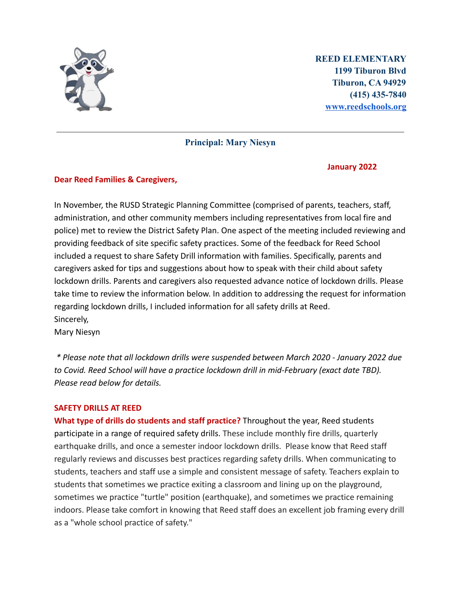

**REED ELEMENTARY 1199 Tiburon Blvd Tiburon, CA 94929 (415) 435-7840 [www.reedschools.org](http://www.reedschools.org)**

**Principal: Mary Niesyn**

#### **January 2022**

## **Dear Reed Families & Caregivers,**

In November, the RUSD Strategic Planning Committee (comprised of parents, teachers, staff, administration, and other community members including representatives from local fire and police) met to review the District Safety Plan. One aspect of the meeting included reviewing and providing feedback of site specific safety practices. Some of the feedback for Reed School included a request to share Safety Drill information with families. Specifically, parents and caregivers asked for tips and suggestions about how to speak with their child about safety lockdown drills. Parents and caregivers also requested advance notice of lockdown drills. Please take time to review the information below. In addition to addressing the request for information regarding lockdown drills, I included information for all safety drills at Reed. Sincerely, Mary Niesyn

*\* Please note that all lockdown drills were suspended between March 2020 - January 2022 due to Covid. Reed School will have a practice lockdown drill in mid-February (exact date TBD).*

#### **SAFETY DRILLS AT REED**

*Please read below for details.*

**What type of drills do students and staff practice?** Throughout the year, Reed students participate in a range of required safety drills. These include monthly fire drills, quarterly earthquake drills, and once a semester indoor lockdown drills. Please know that Reed staff regularly reviews and discusses best practices regarding safety drills. When communicating to students, teachers and staff use a simple and consistent message of safety. Teachers explain to students that sometimes we practice exiting a classroom and lining up on the playground, sometimes we practice "turtle" position (earthquake), and sometimes we practice remaining indoors. Please take comfort in knowing that Reed staff does an excellent job framing every drill as a "whole school practice of safety."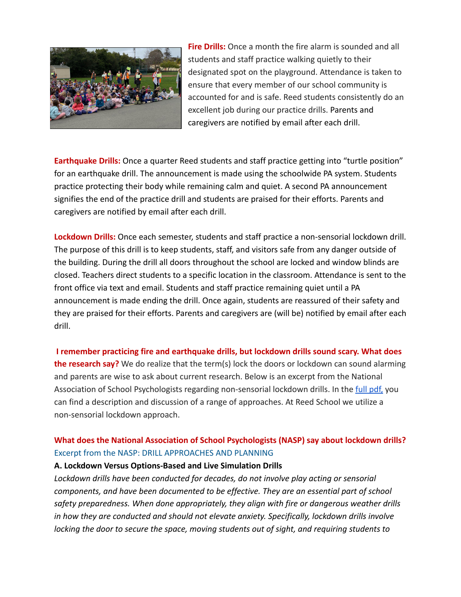

**Fire Drills:** Once a month the fire alarm is sounded and all students and staff practice walking quietly to their designated spot on the playground. Attendance is taken to ensure that every member of our school community is accounted for and is safe. Reed students consistently do an excellent job during our practice drills. Parents and caregivers are notified by email after each drill.

**Earthquake Drills:** Once a quarter Reed students and staff practice getting into "turtle position" for an earthquake drill. The announcement is made using the schoolwide PA system. Students practice protecting their body while remaining calm and quiet. A second PA announcement signifies the end of the practice drill and students are praised for their efforts. Parents and caregivers are notified by email after each drill.

**Lockdown Drills:** Once each semester, students and staff practice a non-sensorial lockdown drill. The purpose of this drill is to keep students, staff, and visitors safe from any danger outside of the building. During the drill all doors throughout the school are locked and window blinds are closed. Teachers direct students to a specific location in the classroom. Attendance is sent to the front office via text and email. Students and staff practice remaining quiet until a PA announcement is made ending the drill. Once again, students are reassured of their safety and they are praised for their efforts. Parents and caregivers are (will be) notified by email after each drill.

**I remember practicing fire and earthquake drills, but lockdown drills sound scary. What does the research say?** We do realize that the term(s) lock the doors or lockdown can sound alarming and parents are wise to ask about current research. Below is an excerpt from the National Association of School Psychologists regarding non-sensorial lockdown drills. In the [full pdf,](https://drive.google.com/file/d/1gxJo32ZbATqa31Fd5lIsegvmhRKVjHSK/view?usp=sharing) you can find a description and discussion of a range of approaches. At Reed School we utilize a non-sensorial lockdown approach.

# **What does the National Association of School Psychologists (NASP) say about lockdown drills?** Excerpt from the NASP: DRILL APPROACHES AND PLANNING

## **A. Lockdown Versus Options-Based and Live Simulation Drills**

*Lockdown drills have been conducted for decades, do not involve play acting or sensorial components, and have been documented to be effective. They are an essential part of school safety preparedness. When done appropriately, they align with fire or dangerous weather drills in how they are conducted and should not elevate anxiety. Specifically, lockdown drills involve locking the door to secure the space, moving students out of sight, and requiring students to*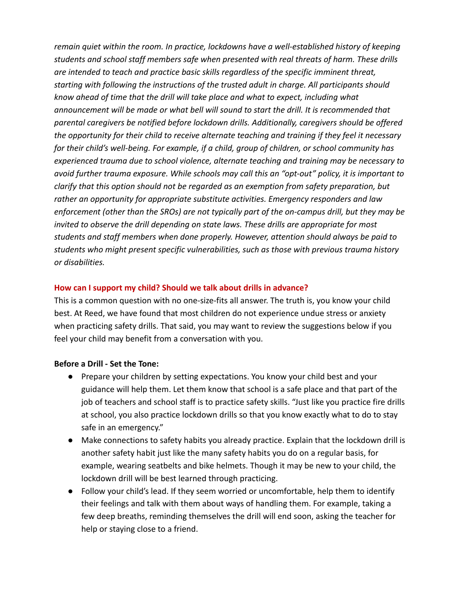*remain quiet within the room. In practice, lockdowns have a well-established history of keeping students and school staff members safe when presented with real threats of harm. These drills are intended to teach and practice basic skills regardless of the specific imminent threat, starting with following the instructions of the trusted adult in charge. All participants should know ahead of time that the drill will take place and what to expect, including what announcement will be made or what bell will sound to start the drill. It is recommended that parental caregivers be notified before lockdown drills. Additionally, caregivers should be offered the opportunity for their child to receive alternate teaching and training if they feel it necessary for their child's well-being. For example, if a child, group of children, or school community has experienced trauma due to school violence, alternate teaching and training may be necessary to avoid further trauma exposure. While schools may call this an "opt-out" policy, it is important to clarify that this option should not be regarded as an exemption from safety preparation, but rather an opportunity for appropriate substitute activities. Emergency responders and law enforcement (other than the SROs) are not typically part of the on-campus drill, but they may be invited to observe the drill depending on state laws. These drills are appropriate for most students and staff members when done properly. However, attention should always be paid to students who might present specific vulnerabilities, such as those with previous trauma history or disabilities.*

## **How can I support my child? Should we talk about drills in advance?**

This is a common question with no one-size-fits all answer. The truth is, you know your child best. At Reed, we have found that most children do not experience undue stress or anxiety when practicing safety drills. That said, you may want to review the suggestions below if you feel your child may benefit from a conversation with you.

#### **Before a Drill - Set the Tone:**

- Prepare your children by setting expectations. You know your child best and your guidance will help them. Let them know that school is a safe place and that part of the job of teachers and school staff is to practice safety skills. "Just like you practice fire drills at school, you also practice lockdown drills so that you know exactly what to do to stay safe in an emergency."
- Make connections to safety habits you already practice. Explain that the lockdown drill is another safety habit just like the many safety habits you do on a regular basis, for example, wearing seatbelts and bike helmets. Though it may be new to your child, the lockdown drill will be best learned through practicing.
- Follow your child's lead. If they seem worried or uncomfortable, help them to identify their feelings and talk with them about ways of handling them. For example, taking a few deep breaths, reminding themselves the drill will end soon, asking the teacher for help or staying close to a friend.